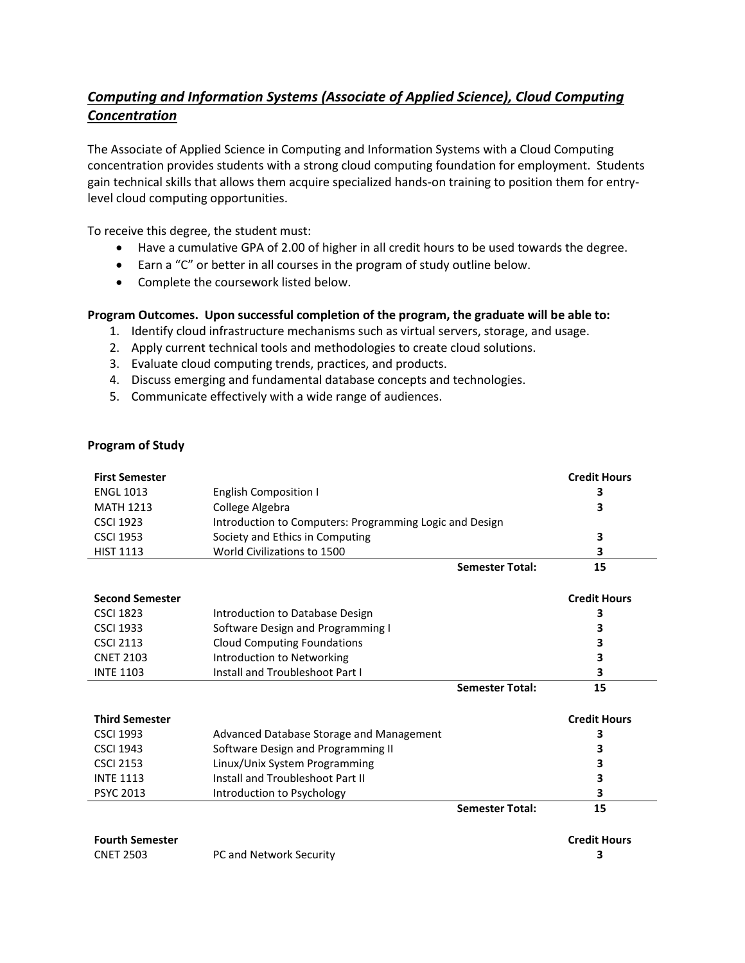## *Computing and Information Systems (Associate of Applied Science), Cloud Computing Concentration*

The Associate of Applied Science in Computing and Information Systems with a Cloud Computing concentration provides students with a strong cloud computing foundation for employment. Students gain technical skills that allows them acquire specialized hands-on training to position them for entrylevel cloud computing opportunities.

To receive this degree, the student must:

- Have a cumulative GPA of 2.00 of higher in all credit hours to be used towards the degree.
- Earn a "C" or better in all courses in the program of study outline below.
- Complete the coursework listed below.

## **Program Outcomes. Upon successful completion of the program, the graduate will be able to:**

- 1. Identify cloud infrastructure mechanisms such as virtual servers, storage, and usage.
- 2. Apply current technical tools and methodologies to create cloud solutions.
- 3. Evaluate cloud computing trends, practices, and products.
- 4. Discuss emerging and fundamental database concepts and technologies.
- 5. Communicate effectively with a wide range of audiences.

## **Program of Study**

| <b>First Semester</b>  |                                                         |                        | <b>Credit Hours</b> |
|------------------------|---------------------------------------------------------|------------------------|---------------------|
| <b>ENGL 1013</b>       | <b>English Composition I</b>                            |                        | 3                   |
| <b>MATH 1213</b>       | College Algebra                                         |                        | 3                   |
| <b>CSCI 1923</b>       | Introduction to Computers: Programming Logic and Design |                        |                     |
| <b>CSCI 1953</b>       | Society and Ethics in Computing                         |                        | 3                   |
| <b>HIST 1113</b>       | World Civilizations to 1500                             |                        | 3                   |
|                        |                                                         | <b>Semester Total:</b> | 15                  |
| <b>Second Semester</b> |                                                         |                        | <b>Credit Hours</b> |
| <b>CSCI 1823</b>       | Introduction to Database Design                         |                        | 3                   |
| <b>CSCI 1933</b>       | Software Design and Programming I                       |                        | 3                   |
| <b>CSCI 2113</b>       | <b>Cloud Computing Foundations</b>                      |                        | 3                   |
| <b>CNET 2103</b>       | Introduction to Networking                              |                        | 3                   |
| <b>INTE 1103</b>       | Install and Troubleshoot Part I                         |                        | 3                   |
|                        |                                                         | <b>Semester Total:</b> | 15                  |
| <b>Third Semester</b>  |                                                         |                        | <b>Credit Hours</b> |
| <b>CSCI 1993</b>       | Advanced Database Storage and Management                |                        | 3                   |
| <b>CSCI 1943</b>       | Software Design and Programming II                      |                        | 3                   |
| <b>CSCI 2153</b>       | Linux/Unix System Programming                           |                        | 3                   |
| <b>INTE 1113</b>       | Install and Troubleshoot Part II                        |                        | 3                   |
| <b>PSYC 2013</b>       | Introduction to Psychology                              |                        | 3                   |
|                        |                                                         | <b>Semester Total:</b> | 15                  |
| <b>Fourth Semester</b> |                                                         |                        | <b>Credit Hours</b> |
| <b>CNET 2503</b>       | PC and Network Security                                 |                        | 3                   |